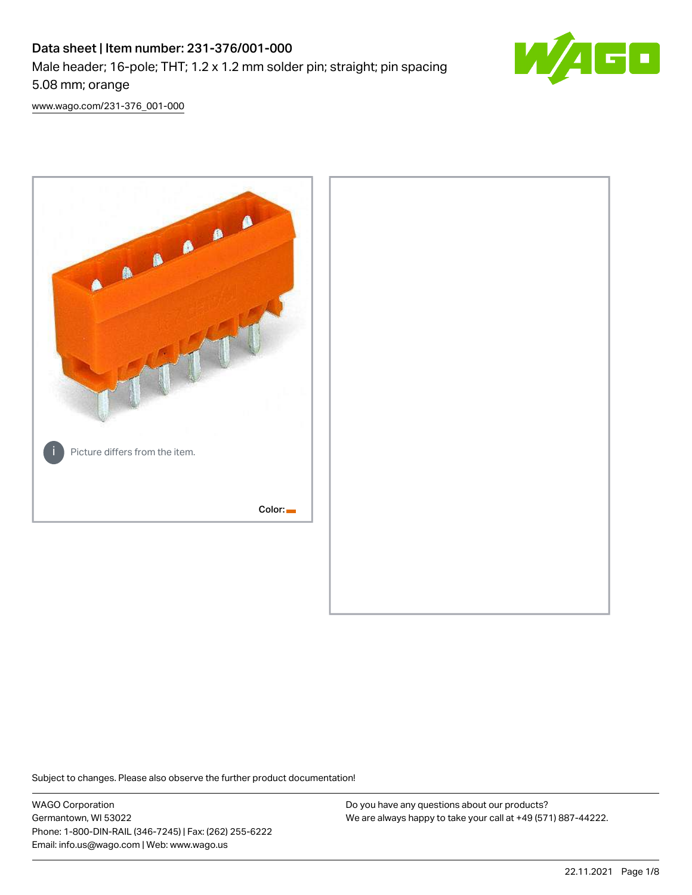# Data sheet | Item number: 231-376/001-000 Male header; 16-pole; THT; 1.2 x 1.2 mm solder pin; straight; pin spacing 5.08 mm; orange



[www.wago.com/231-376\\_001-000](http://www.wago.com/231-376_001-000)



Subject to changes. Please also observe the further product documentation!

WAGO Corporation Germantown, WI 53022 Phone: 1-800-DIN-RAIL (346-7245) | Fax: (262) 255-6222 Email: info.us@wago.com | Web: www.wago.us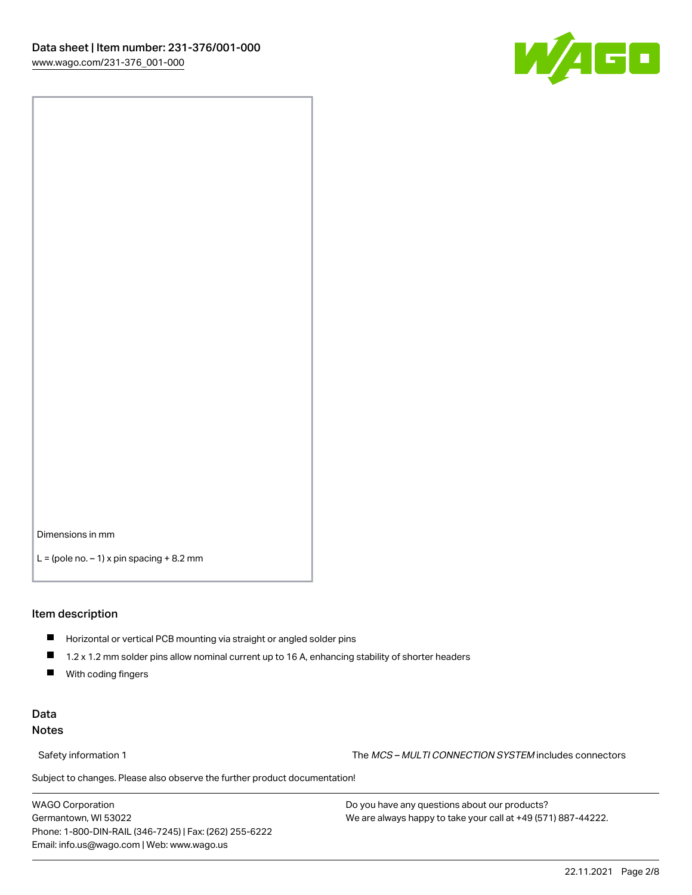

Dimensions in mm

 $L =$  (pole no.  $-1$ ) x pin spacing  $+8.2$  mm

#### Item description

- **Horizontal or vertical PCB mounting via straight or angled solder pins**
- 1.2 x 1.2 mm solder pins allow nominal current up to 16 A, enhancing stability of shorter headers
- $\blacksquare$ With coding fingers

#### Data Notes

Safety information 1 The MCS – MULTI CONNECTION SYSTEM includes connectors

Subject to changes. Please also observe the further product documentation!  $\nu$ 

WAGO Corporation Germantown, WI 53022 Phone: 1-800-DIN-RAIL (346-7245) | Fax: (262) 255-6222 Email: info.us@wago.com | Web: www.wago.us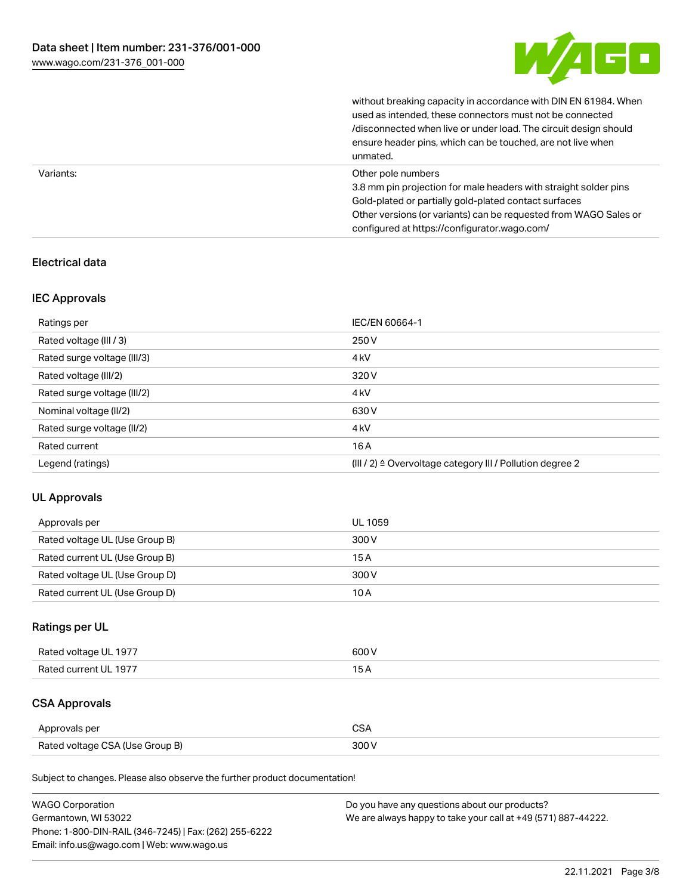

without breaking capacity in accordance with DIN EN 61984. When

|           | used as intended, these connectors must not be connected<br>/disconnected when live or under load. The circuit design should<br>ensure header pins, which can be touched, are not live when<br>unmated.                                                             |
|-----------|---------------------------------------------------------------------------------------------------------------------------------------------------------------------------------------------------------------------------------------------------------------------|
| Variants: | Other pole numbers<br>3.8 mm pin projection for male headers with straight solder pins<br>Gold-plated or partially gold-plated contact surfaces<br>Other versions (or variants) can be requested from WAGO Sales or<br>configured at https://configurator.wago.com/ |

#### Electrical data

#### IEC Approvals

| Ratings per                 | IEC/EN 60664-1                                            |
|-----------------------------|-----------------------------------------------------------|
| Rated voltage (III / 3)     | 250 V                                                     |
| Rated surge voltage (III/3) | 4 <sub>k</sub> V                                          |
| Rated voltage (III/2)       | 320 V                                                     |
| Rated surge voltage (III/2) | 4 <sub>k</sub> V                                          |
| Nominal voltage (II/2)      | 630 V                                                     |
| Rated surge voltage (II/2)  | 4 <sub>k</sub> V                                          |
| Rated current               | 16A                                                       |
| Legend (ratings)            | (III / 2) ≙ Overvoltage category III / Pollution degree 2 |

#### UL Approvals

| Approvals per                  | UL 1059 |
|--------------------------------|---------|
| Rated voltage UL (Use Group B) | 300 V   |
| Rated current UL (Use Group B) | 15 A    |
| Rated voltage UL (Use Group D) | 300 V   |
| Rated current UL (Use Group D) | 10 A    |

## Ratings per UL

| Rated voltage UL 1977 | 600 V |
|-----------------------|-------|
| Rated current UL 1977 |       |

# CSA Approvals

| Approvals per                   | ~~    |
|---------------------------------|-------|
| Rated voltage CSA (Use Group B) | 3UU 1 |

Subject to changes. Please also observe the further product documentation!

| <b>WAGO Corporation</b>                                | Do you have any questions about our products?                 |
|--------------------------------------------------------|---------------------------------------------------------------|
| Germantown, WI 53022                                   | We are always happy to take your call at +49 (571) 887-44222. |
| Phone: 1-800-DIN-RAIL (346-7245)   Fax: (262) 255-6222 |                                                               |
| Email: info.us@wago.com   Web: www.wago.us             |                                                               |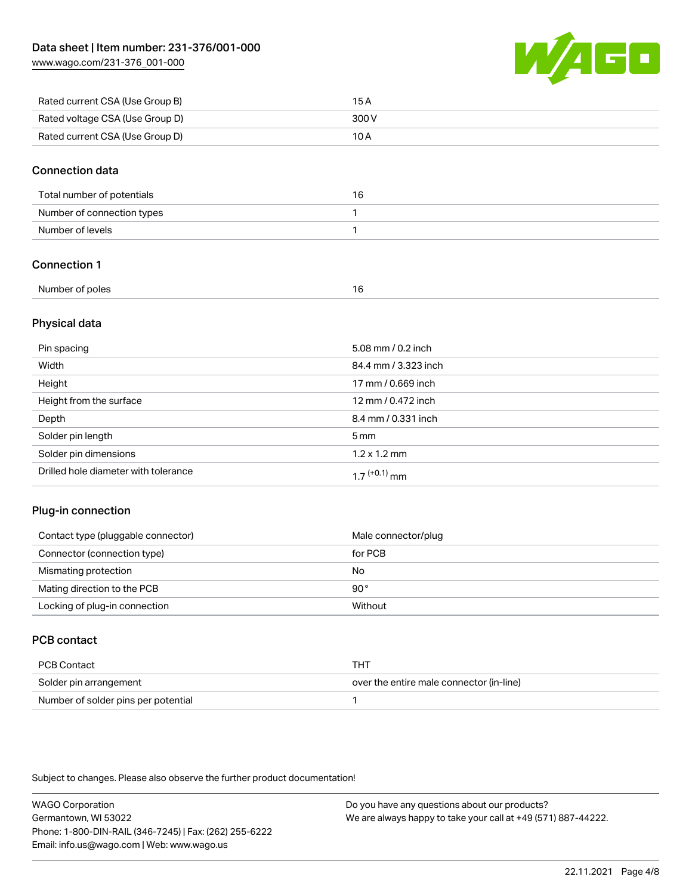[www.wago.com/231-376\\_001-000](http://www.wago.com/231-376_001-000)



| Rated current CSA (Use Group B) | 15 A  |
|---------------------------------|-------|
| Rated voltage CSA (Use Group D) | 300 V |
| Rated current CSA (Use Group D) | 10 A  |

#### Connection data

| Total number of potentials | 16 |
|----------------------------|----|
| Number of connection types |    |
| Number of levels           |    |

#### Connection 1

| Number of poles |  |
|-----------------|--|
|                 |  |

#### Physical data

| Pin spacing                          | 5.08 mm / 0.2 inch   |
|--------------------------------------|----------------------|
| Width                                | 84.4 mm / 3.323 inch |
| Height                               | 17 mm / 0.669 inch   |
| Height from the surface              | 12 mm / 0.472 inch   |
| Depth                                | 8.4 mm / 0.331 inch  |
| Solder pin length                    | 5 <sub>mm</sub>      |
| Solder pin dimensions                | $1.2 \times 1.2$ mm  |
| Drilled hole diameter with tolerance | $17^{(+0.1)}$ mm     |

#### Plug-in connection

| Contact type (pluggable connector) | Male connector/plug |
|------------------------------------|---------------------|
| Connector (connection type)        | for PCB             |
| Mismating protection               | No                  |
| Mating direction to the PCB        | $90^{\circ}$        |
| Locking of plug-in connection      | Without             |

## PCB contact

| PCB Contact                         | тнт                                      |
|-------------------------------------|------------------------------------------|
| Solder pin arrangement              | over the entire male connector (in-line) |
| Number of solder pins per potential |                                          |

Subject to changes. Please also observe the further product documentation!

WAGO Corporation Germantown, WI 53022 Phone: 1-800-DIN-RAIL (346-7245) | Fax: (262) 255-6222 Email: info.us@wago.com | Web: www.wago.us Do you have any questions about our products? We are always happy to take your call at +49 (571) 887-44222.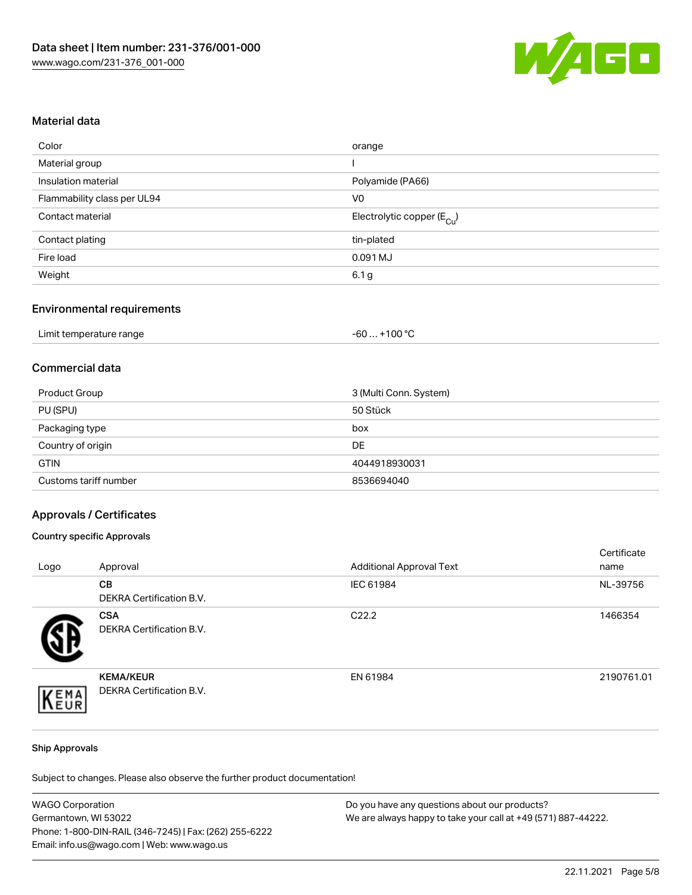

#### Material data

| orange                                 |
|----------------------------------------|
|                                        |
| Polyamide (PA66)                       |
| V <sub>0</sub>                         |
| Electrolytic copper (E <sub>Cu</sub> ) |
| tin-plated                             |
| 0.091 MJ                               |
| 6.1 g                                  |
|                                        |

#### Environmental requirements

| Limit temperature range | $+100 °C$<br>-60 |
|-------------------------|------------------|
|-------------------------|------------------|

#### Commercial data

| Product Group         | 3 (Multi Conn. System) |
|-----------------------|------------------------|
| PU (SPU)              | 50 Stück               |
| Packaging type        | box                    |
| Country of origin     | DE                     |
| <b>GTIN</b>           | 4044918930031          |
| Customs tariff number | 8536694040             |

#### Approvals / Certificates

#### Country specific Approvals

| Logo | Approval                                            | <b>Additional Approval Text</b> | Certificate<br>name |
|------|-----------------------------------------------------|---------------------------------|---------------------|
|      | <b>CB</b><br>DEKRA Certification B.V.               | IEC 61984                       | NL-39756            |
|      | <b>CSA</b><br>DEKRA Certification B.V.              | C <sub>22.2</sub>               | 1466354             |
| EMA  | <b>KEMA/KEUR</b><br><b>DEKRA Certification B.V.</b> | EN 61984                        | 2190761.01          |

#### Ship Approvals

Subject to changes. Please also observe the further product documentation!

| <b>WAGO Corporation</b>                                | Do you have any questions about our products?                 |
|--------------------------------------------------------|---------------------------------------------------------------|
| Germantown, WI 53022                                   | We are always happy to take your call at +49 (571) 887-44222. |
| Phone: 1-800-DIN-RAIL (346-7245)   Fax: (262) 255-6222 |                                                               |
| Email: info.us@wago.com   Web: www.wago.us             |                                                               |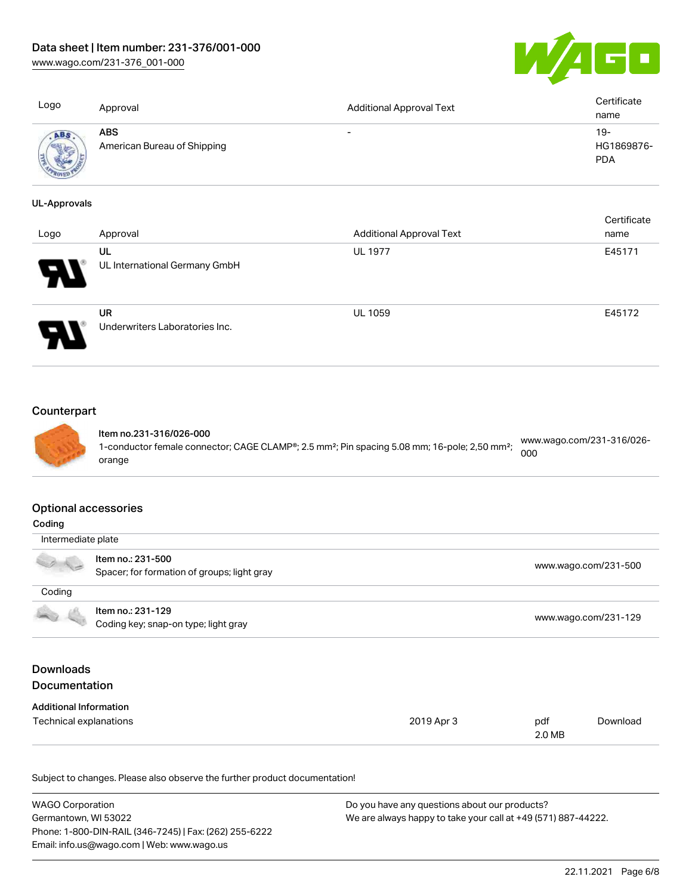## Data sheet | Item number: 231-376/001-000

[www.wago.com/231-376\\_001-000](http://www.wago.com/231-376_001-000)



| Logo                | Approval                                  | <b>Additional Approval Text</b> | Certificate<br>name               |
|---------------------|-------------------------------------------|---------------------------------|-----------------------------------|
| <b>ABS</b>          | <b>ABS</b><br>American Bureau of Shipping | $\overline{\phantom{0}}$        | $19-$<br>HG1869876-<br><b>PDA</b> |
| <b>UL-Approvals</b> |                                           |                                 |                                   |

| Logo | Approval                             | <b>Additional Approval Text</b> | Certificate<br>name |
|------|--------------------------------------|---------------------------------|---------------------|
| Э.   | UL<br>UL International Germany GmbH  | <b>UL 1977</b>                  | E45171              |
|      | UR<br>Underwriters Laboratories Inc. | <b>UL 1059</b>                  | E45172              |

# **Counterpart**



Item no.231-316/026-000 1-conductor female connector; CAGE CLAMP®; 2.5 mm²; Pin spacing 5.08 mm; 16-pole; 2,50 mm²; orange [www.wago.com/231-316/026-](https://www.wago.com/231-316/026-000) [000](https://www.wago.com/231-316/026-000)

#### Optional accessories

| Coding                                   |                                                                  |            |               |                      |
|------------------------------------------|------------------------------------------------------------------|------------|---------------|----------------------|
|                                          | Intermediate plate                                               |            |               |                      |
|                                          | Item no.: 231-500<br>Spacer; for formation of groups; light gray |            |               | www.wago.com/231-500 |
| Coding                                   |                                                                  |            |               |                      |
|                                          | Item no.: 231-129<br>Coding key; snap-on type; light gray        |            |               | www.wago.com/231-129 |
| <b>Downloads</b><br><b>Documentation</b> |                                                                  |            |               |                      |
| <b>Additional Information</b>            |                                                                  |            |               |                      |
| Technical explanations                   |                                                                  | 2019 Apr 3 | pdf<br>2.0 MB | Download             |

Subject to changes. Please also observe the further product documentation!

| <b>WAGO Corporation</b>                                | Do you have any questions about our products?                 |
|--------------------------------------------------------|---------------------------------------------------------------|
| Germantown, WI 53022                                   | We are always happy to take your call at +49 (571) 887-44222. |
| Phone: 1-800-DIN-RAIL (346-7245)   Fax: (262) 255-6222 |                                                               |
| Email: info.us@wago.com   Web: www.wago.us             |                                                               |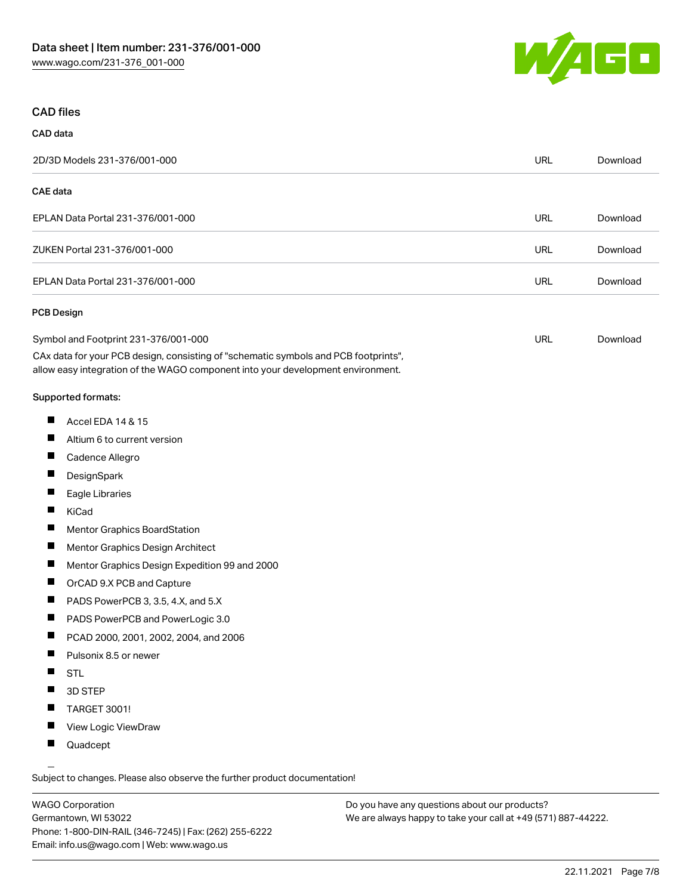

#### CAD files

# CAD data 2D/3D Models 231-376/001-000 URL [Download](https://www.wago.com/global/d/3D_URLS_231-376_001-000) CAE data EPLAN Data Portal 231-376/001-000 URL [Download](https://www.wago.com/global/d/EPLAN_URLS_231-376%252F001-000) ZUKEN Portal 231-376/001-000 URL [Download](https://www.wago.com/global/d/Zuken_URLS_231-376_001-000) EPLAN Data Portal 231-376/001-000 URL [Download](https://www.wago.com/global/d/EPLAN_URLS_231-376_001-000) PCB Design Symbol and Footprint 231-376/001-000 URL [Download](https://www.wago.com/global/d/UltraLibrarian_URLS_231-376_001-000)

CAx data for your PCB design, consisting of "schematic symbols and PCB footprints", allow easy integration of the WAGO component into your development environment.

#### Supported formats:

- $\blacksquare$ Accel EDA 14 & 15
- П Altium 6 to current version
- П Cadence Allegro
- П **DesignSpark**
- П Eagle Libraries
- $\blacksquare$ KiCad
- П Mentor Graphics BoardStation
- $\blacksquare$ Mentor Graphics Design Architect
- П Mentor Graphics Design Expedition 99 and 2000
- П OrCAD 9.X PCB and Capture
- $\blacksquare$ PADS PowerPCB 3, 3.5, 4.X, and 5.X
- $\blacksquare$ PADS PowerPCB and PowerLogic 3.0
- $\blacksquare$ PCAD 2000, 2001, 2002, 2004, and 2006
- $\blacksquare$ Pulsonix 8.5 or newer
- $\blacksquare$ STL
- $\blacksquare$ 3D STEP
- $\blacksquare$ TARGET 3001!
- $\blacksquare$ View Logic ViewDraw
- $\blacksquare$ Quadcept

.<br>Subject to changes. Please also observe the further product documentation!

WAGO Corporation Germantown, WI 53022 Phone: 1-800-DIN-RAIL (346-7245) | Fax: (262) 255-6222 Email: info.us@wago.com | Web: www.wago.us